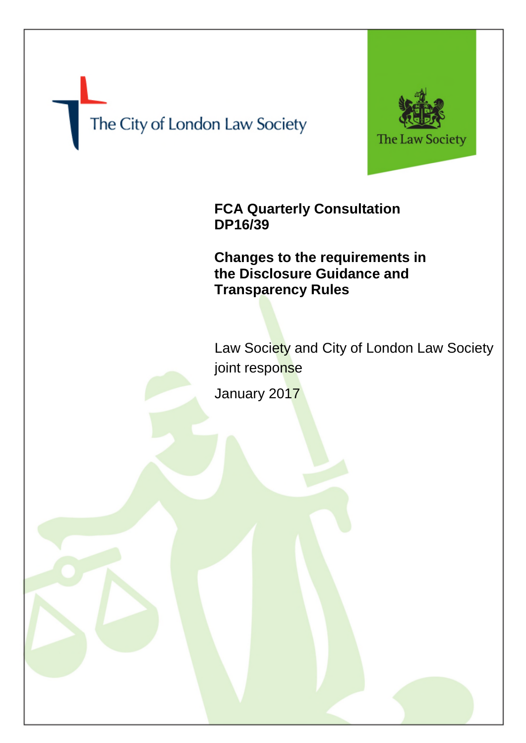# The City of London Law Society



**FCA Quarterly Consultation DP16/39**

**Changes to the requirements in the Disclosure Guidance and Transparency Rules**

Law Society and City of London Law Society joint response

January 2017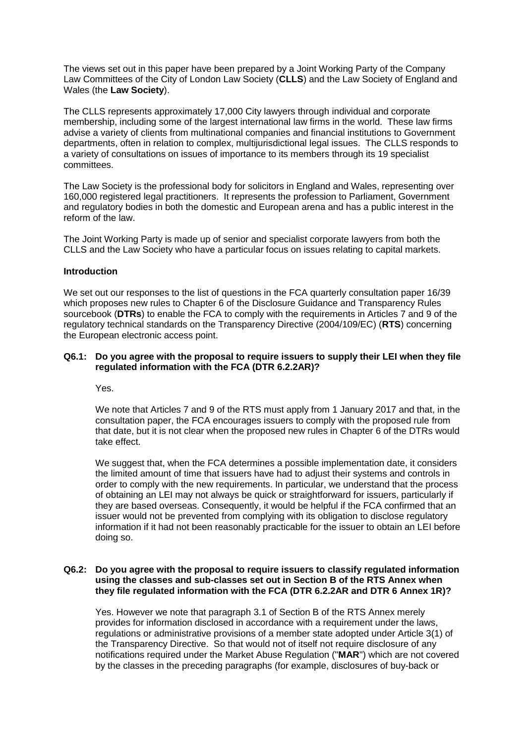The views set out in this paper have been prepared by a Joint Working Party of the Company Law Committees of the City of London Law Society (**CLLS**) and the Law Society of England and Wales (the **Law Society**).

The CLLS represents approximately 17,000 City lawyers through individual and corporate membership, including some of the largest international law firms in the world. These law firms advise a variety of clients from multinational companies and financial institutions to Government departments, often in relation to complex, multijurisdictional legal issues. The CLLS responds to a variety of consultations on issues of importance to its members through its 19 specialist committees.

The Law Society is the professional body for solicitors in England and Wales, representing over 160,000 registered legal practitioners. It represents the profession to Parliament, Government and regulatory bodies in both the domestic and European arena and has a public interest in the reform of the law.

The Joint Working Party is made up of senior and specialist corporate lawyers from both the CLLS and the Law Society who have a particular focus on issues relating to capital markets.

## **Introduction**

We set out our responses to the list of questions in the FCA quarterly consultation paper 16/39 which proposes new rules to Chapter 6 of the Disclosure Guidance and Transparency Rules sourcebook (**DTRs**) to enable the FCA to comply with the requirements in Articles 7 and 9 of the regulatory technical standards on the Transparency Directive (2004/109/EC) (**RTS**) concerning the European electronic access point.

### **Q6.1: Do you agree with the proposal to require issuers to supply their LEI when they file regulated information with the FCA (DTR 6.2.2AR)?**

Yes.

We note that Articles 7 and 9 of the RTS must apply from 1 January 2017 and that, in the consultation paper, the FCA encourages issuers to comply with the proposed rule from that date, but it is not clear when the proposed new rules in Chapter 6 of the DTRs would take effect.

We suggest that, when the FCA determines a possible implementation date, it considers the limited amount of time that issuers have had to adjust their systems and controls in order to comply with the new requirements. In particular, we understand that the process of obtaining an LEI may not always be quick or straightforward for issuers, particularly if they are based overseas. Consequently, it would be helpful if the FCA confirmed that an issuer would not be prevented from complying with its obligation to disclose regulatory information if it had not been reasonably practicable for the issuer to obtain an LEI before doing so.

### **Q6.2: Do you agree with the proposal to require issuers to classify regulated information using the classes and sub-classes set out in Section B of the RTS Annex when they file regulated information with the FCA (DTR 6.2.2AR and DTR 6 Annex 1R)?**

Yes. However we note that paragraph 3.1 of Section B of the RTS Annex merely provides for information disclosed in accordance with a requirement under the laws, regulations or administrative provisions of a member state adopted under Article 3(1) of the Transparency Directive. So that would not of itself not require disclosure of any notifications required under the Market Abuse Regulation ("**MAR**") which are not covered by the classes in the preceding paragraphs (for example, disclosures of buy-back or